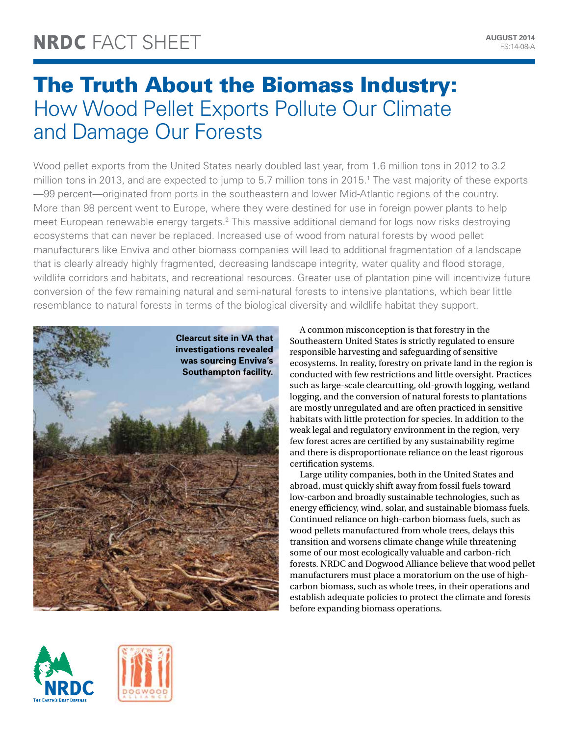# The Truth About the Biomass Industry: How Wood Pellet Exports Pollute Our Climate and Damage Our Forests

Wood pellet exports from the United States nearly doubled last year, from 1.6 million tons in 2012 to 3.2 million tons in 2013, and are expected to jump to 5.7 million tons in 2015.<sup>1</sup> The vast majority of these exports —99 percent—originated from ports in the southeastern and lower Mid-Atlantic regions of the country. More than 98 percent went to Europe, where they were destined for use in foreign power plants to help meet European renewable energy targets.2 This massive additional demand for logs now risks destroying ecosystems that can never be replaced. Increased use of wood from natural forests by wood pellet manufacturers like Enviva and other biomass companies will lead to additional fragmentation of a landscape that is clearly already highly fragmented, decreasing landscape integrity, water quality and flood storage, wildlife corridors and habitats, and recreational resources. Greater use of plantation pine will incentivize future conversion of the few remaining natural and semi-natural forests to intensive plantations, which bear little resemblance to natural forests in terms of the biological diversity and wildlife habitat they support.



A common misconception is that forestry in the Southeastern United States is strictly regulated to ensure responsible harvesting and safeguarding of sensitive ecosystems. In reality, forestry on private land in the region is conducted with few restrictions and little oversight. Practices such as large-scale clearcutting, old-growth logging, wetland logging, and the conversion of natural forests to plantations are mostly unregulated and are often practiced in sensitive habitats with little protection for species. In addition to the weak legal and regulatory environment in the region, very few forest acres are certified by any sustainability regime and there is disproportionate reliance on the least rigorous certification systems.

Large utility companies, both in the United States and abroad, must quickly shift away from fossil fuels toward low-carbon and broadly sustainable technologies, such as energy efficiency, wind, solar, and sustainable biomass fuels. Continued reliance on high-carbon biomass fuels, such as wood pellets manufactured from whole trees, delays this transition and worsens climate change while threatening some of our most ecologically valuable and carbon-rich forests. NRDC and Dogwood Alliance believe that wood pellet manufacturers must place a moratorium on the use of highcarbon biomass, such as whole trees, in their operations and establish adequate policies to protect the climate and forests before expanding biomass operations.



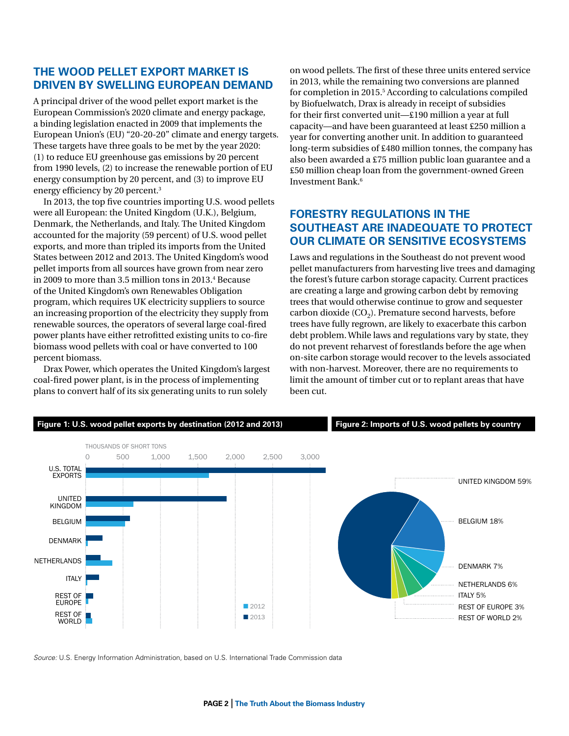## **The wood pellet export market is driven by swelling European demand**

A principal driver of the wood pellet export market is the European Commission's 2020 climate and energy package, a binding legislation enacted in 2009 that implements the European Union's (EU) "20-20-20" climate and energy targets. These targets have three goals to be met by the year 2020: (1) to reduce EU greenhouse gas emissions by 20 percent from 1990 levels, (2) to increase the renewable portion of EU energy consumption by 20 percent, and (3) to improve EU energy efficiency by 20 percent.3

In 2013, the top five countries importing U.S. wood pellets were all European: the United Kingdom (U.K.), Belgium, Denmark, the Netherlands, and Italy. The United Kingdom accounted for the majority (59 percent) of U.S. wood pellet exports, and more than tripled its imports from the United States between 2012 and 2013. The United Kingdom's wood pellet imports from all sources have grown from near zero in 2009 to more than 3.5 million tons in 2013.4 Because of the United Kingdom's own Renewables Obligation program, which requires UK electricity suppliers to source an increasing proportion of the electricity they supply from renewable sources, the operators of several large coal-fired power plants have either retrofitted existing units to co-fire biomass wood pellets with coal or have converted to 100 percent biomass.

Drax Power, which operates the United Kingdom's largest coal-fired power plant, is in the process of implementing plans to convert half of its six generating units to run solely

on wood pellets. The first of these three units entered service in 2013, while the remaining two conversions are planned for completion in 2015.<sup>5</sup> According to calculations compiled by Biofuelwatch, Drax is already in receipt of subsidies for their first converted unit—£190 million a year at full capacity—and have been guaranteed at least £250 million a year for converting another unit. In addition to guaranteed long-term subsidies of £480 million tonnes, the company has also been awarded a £75 million public loan guarantee and a £50 million cheap loan from the government-owned Green Investment Bank.6

## **Forestry regulations in the Southeast are inadequate to protect our climate or sensitive ecosystems**

Laws and regulations in the Southeast do not prevent wood pellet manufacturers from harvesting live trees and damaging the forest's future carbon storage capacity. Current practices are creating a large and growing carbon debt by removing trees that would otherwise continue to grow and sequester carbon dioxide  $(CO<sub>2</sub>)$ . Premature second harvests, before trees have fully regrown, are likely to exacerbate this carbon debt problem. While laws and regulations vary by state, they do not prevent reharvest of forestlands before the age when on-site carbon storage would recover to the levels associated with non-harvest. Moreover, there are no requirements to limit the amount of timber cut or to replant areas that have been cut.



*Source:* U.S. Energy Information Administration, based on U.S. International Trade Commission data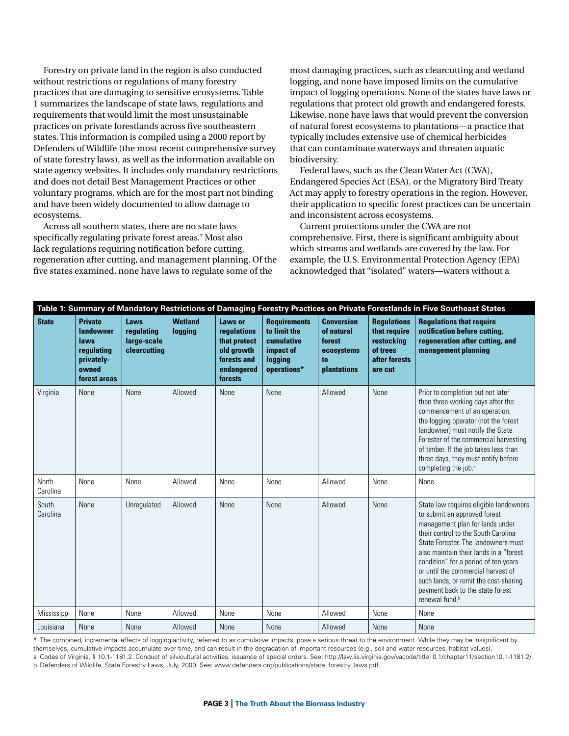Forestry on private land in the region is also conducted without restrictions or regulations of many forestry practices that are damaging to sensitive ecosystems. Table 1 summarizes the landscape of state laws, regulations and requirements that would limit the most unsustainable practices on private forestlands across five southeastern states. This information is compiled using a 2000 report by Defenders of Wildlife (the most recent comprehensive survey of state forestry laws), as well as the information available on state agency websites. It includes only mandatory restrictions and does not detail Best Management Practices or other voluntary programs, which are for the most part not binding and have been widely documented to allow damage to ecosystems.

Across all southern states, there are no state laws specifically regulating private forest areas.7 Most also lack regulations requiring notification before cutting, regeneration after cutting, and management planning. Of the five states examined, none have laws to regulate some of the

most damaging practices, such as clearcutting and wetland logging, and none have imposed limits on the cumulative impact of logging operations. None of the states have laws or regulations that protect old growth and endangered forests. Likewise, none have laws that would prevent the conversion of natural forest ecosystems to plantations—a practice that typically includes extensive use of chemical herbicides that can contaminate waterways and threaten aquatic biodiversity.

Federal laws, such as the Clean Water Act (CWA), Endangered Species Act (ESA), or the Migratory Bird Treaty Act may apply to forestry operations in the region. However, their application to specific forest practices can be uncertain and inconsistent across ecosystems.

Current protections under the CWA are not comprehensive. First, there is significant ambiguity about which streams and wetlands are covered by the law. For example, the U.S. Environmental Protection Agency (EPA) acknowledged that "isolated" waters—waters without a

| Table 1: Summary of Mandatory Restrictions of Damaging Forestry Practices on Private Forestlands in Five Southeast States |                                                                                          |                                                   |                           |                                                                                              |                                                                                          |                                                                              |                                                                                          |                                                                                                                                                                                                                                                                                                                                                                                                                            |  |
|---------------------------------------------------------------------------------------------------------------------------|------------------------------------------------------------------------------------------|---------------------------------------------------|---------------------------|----------------------------------------------------------------------------------------------|------------------------------------------------------------------------------------------|------------------------------------------------------------------------------|------------------------------------------------------------------------------------------|----------------------------------------------------------------------------------------------------------------------------------------------------------------------------------------------------------------------------------------------------------------------------------------------------------------------------------------------------------------------------------------------------------------------------|--|
| <b>State</b>                                                                                                              | <b>Private</b><br>landowner<br>laws<br>regulating<br>privately-<br>owned<br>forest areas | Laws<br>regulating<br>large-scale<br>clearcutting | <b>Wetland</b><br>logging | Laws or<br>regulations<br>that protect<br>old growth<br>forests and<br>endangered<br>forests | <b>Requirements</b><br>to limit the<br>cumulative<br>impact of<br>logging<br>operations* | <b>Conversion</b><br>of natural<br>forest<br>ecosystems<br>to<br>plantations | <b>Regulations</b><br>that require<br>restocking<br>of trees<br>after forests<br>are cut | <b>Regulations that require</b><br>notification before cutting,<br>regeneration after cutting, and<br>management planning                                                                                                                                                                                                                                                                                                  |  |
| Virginia                                                                                                                  | None                                                                                     | None                                              | Allowed                   | None                                                                                         | None                                                                                     | Allowed                                                                      | None                                                                                     | Prior to completion but not later<br>than three working days after the<br>commencement of an operation,<br>the logging operator (not the forest<br>landowner) must notify the State<br>Forester of the commercial harvesting<br>of timber. If the job takes less than<br>three days, they must notify before<br>completing the job. <sup>a</sup>                                                                           |  |
| North<br>Carolina                                                                                                         | None                                                                                     | None                                              | Allowed                   | None                                                                                         | None                                                                                     | Allowed                                                                      | None                                                                                     | None                                                                                                                                                                                                                                                                                                                                                                                                                       |  |
| South<br>Carolina                                                                                                         | None                                                                                     | Unregulated                                       | Allowed                   | None                                                                                         | None                                                                                     | Allowed                                                                      | None                                                                                     | State law requires eligible landowners<br>to submit an approved forest<br>management plan for lands under<br>their control to the South Carolina<br>State Forester. The landowners must<br>also maintain their lands in a "forest<br>condition" for a period of ten years<br>or until the commercial harvest of<br>such lands, or remit the cost-sharing<br>payment back to the state forest<br>renewal fund. <sup>b</sup> |  |
| Mississippi                                                                                                               | None                                                                                     | None                                              | Allowed                   | None                                                                                         | None                                                                                     | Allowed                                                                      | None                                                                                     | None                                                                                                                                                                                                                                                                                                                                                                                                                       |  |
| Louisiana                                                                                                                 | None                                                                                     | None                                              | Allowed                   | None                                                                                         | None                                                                                     | Allowed                                                                      | None                                                                                     | None                                                                                                                                                                                                                                                                                                                                                                                                                       |  |

\* The combined, incremental effects of logging activity, referred to as cumulative impacts, pose a serious threat to the environment. While they may be insignificant by themselves, cumulative impacts accumulate over time, and can result in the degradation of important resources (e.g., soil and water resources, habitat values).

a Codes of Virginia, § 10.1-1181.2. Conduct of silvicultural activities; issuance of special orders. See: [http://law.lis.virginia.gov/vacode/title10.1/chapter11/section10.1-1181.2/.](http://law.lis.virginia.gov/vacode/title10.1/chapter11/section10.1-1181.2/) b Defenders of Wildlife, State Forestry Laws, July, 2000. See: www.defenders.org/publications/state\_forestry\_laws.pdf.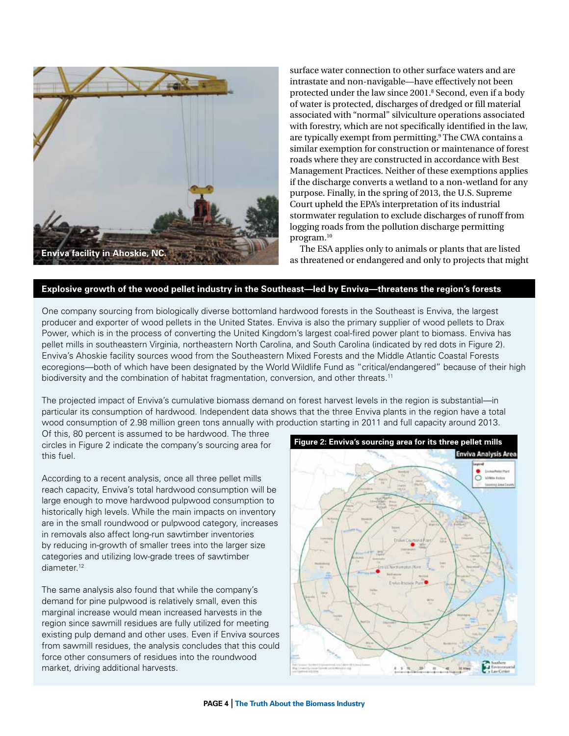

surface water connection to other surface waters and are intrastate and non-navigable—have effectively not been protected under the law since 2001.8 Second, even if a body of water is protected, discharges of dredged or fill material associated with "normal" silviculture operations associated with forestry, which are not specifically identified in the law, are typically exempt from permitting.<sup>9</sup> The CWA contains a similar exemption for construction or maintenance of forest roads where they are constructed in accordance with Best Management Practices. Neither of these exemptions applies if the discharge converts a wetland to a non-wetland for any purpose. Finally, in the spring of 2013, the U.S. Supreme Court upheld the EPA's interpretation of its industrial stormwater regulation to exclude discharges of runoff from logging roads from the pollution discharge permitting program.10

The ESA applies only to animals or plants that are listed as threatened or endangered and only to projects that might

#### **Explosive growth of the wood pellet industry in the Southeast—led by Enviva—threatens the region's forests**

One company sourcing from biologically diverse bottomland hardwood forests in the Southeast is Enviva, the largest producer and exporter of wood pellets in the United States. Enviva is also the primary supplier of wood pellets to Drax Power, which is in the process of converting the United Kingdom's largest coal-fired power plant to biomass. Enviva has pellet mills in southeastern Virginia, northeastern North Carolina, and South Carolina (indicated by red dots in Figure 2). Enviva's Ahoskie facility sources wood from the Southeastern Mixed Forests and the Middle Atlantic Coastal Forests ecoregions—both of which have been designated by the World Wildlife Fund as "critical/endangered" because of their high biodiversity and the combination of habitat fragmentation, conversion, and other threats.<sup>11</sup>

The projected impact of Enviva's cumulative biomass demand on forest harvest levels in the region is substantial—in particular its consumption of hardwood. Independent data shows that the three Enviva plants in the region have a total wood consumption of 2.98 million green tons annually with production starting in 2011 and full capacity around 2013.

Of this, 80 percent is assumed to be hardwood. The three circles in Figure 2 indicate the company's sourcing area for this fuel.

According to a recent analysis, once all three pellet mills reach capacity, Enviva's total hardwood consumption will be large enough to move hardwood pulpwood consumption to historically high levels. While the main impacts on inventory are in the small roundwood or pulpwood category, increases in removals also affect long-run sawtimber inventories by reducing in-growth of smaller trees into the larger size categories and utilizing low-grade trees of sawtimber diameter.<sup>12</sup>

The same analysis also found that while the company's demand for pine pulpwood is relatively small, even this marginal increase would mean increased harvests in the region since sawmill residues are fully utilized for meeting existing pulp demand and other uses. Even if Enviva sources from sawmill residues, the analysis concludes that this could force other consumers of residues into the roundwood market, driving additional harvests.

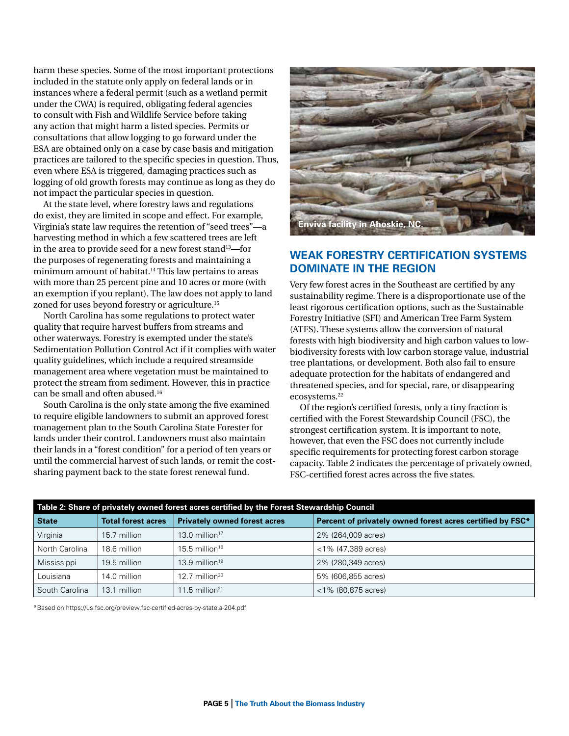harm these species. Some of the most important protections included in the statute only apply on federal lands or in instances where a federal permit (such as a wetland permit under the CWA) is required, obligating federal agencies to consult with Fish and Wildlife Service before taking any action that might harm a listed species. Permits or consultations that allow logging to go forward under the ESA are obtained only on a case by case basis and mitigation practices are tailored to the specific species in question. Thus, even where ESA is triggered, damaging practices such as logging of old growth forests may continue as long as they do not impact the particular species in question.

At the state level, where forestry laws and regulations do exist, they are limited in scope and effect. For example, Virginia's state law requires the retention of "seed trees"—a harvesting method in which a few scattered trees are left in the area to provide seed for a new forest stand<sup>13</sup>—for the purposes of regenerating forests and maintaining a minimum amount of habitat.14 This law pertains to areas with more than 25 percent pine and 10 acres or more (with an exemption if you replant). The law does not apply to land zoned for uses beyond forestry or agriculture.<sup>15</sup>

North Carolina has some regulations to protect water quality that require harvest buffers from streams and other waterways. Forestry is exempted under the state's Sedimentation Pollution Control Act if it complies with water quality guidelines, which include a required streamside management area where vegetation must be maintained to protect the stream from sediment. However, this in practice can be small and often abused.16

South Carolina is the only state among the five examined to require eligible landowners to submit an approved forest management plan to the South Carolina State Forester for lands under their control. Landowners must also maintain their lands in a "forest condition" for a period of ten years or until the commercial harvest of such lands, or remit the costsharing payment back to the state forest renewal fund.



## **Weak forestry certification systems dominate in the region**

Very few forest acres in the Southeast are certified by any sustainability regime. There is a disproportionate use of the least rigorous certification options, such as the Sustainable Forestry Initiative (SFI) and American Tree Farm System (ATFS). These systems allow the conversion of natural forests with high biodiversity and high carbon values to lowbiodiversity forests with low carbon storage value, industrial tree plantations, or development. Both also fail to ensure adequate protection for the habitats of endangered and threatened species, and for special, rare, or disappearing ecosystems.22

Of the region's certified forests, only a tiny fraction is certified with the Forest Stewardship Council (FSC), the strongest certification system. It is important to note, however, that even the FSC does not currently include specific requirements for protecting forest carbon storage capacity. Table 2 indicates the percentage of privately owned, FSC-certified forest acres across the five states.

| Table 2: Share of privately owned forest acres certified by the Forest Stewardship Council |                           |                                     |                                                           |  |  |  |  |  |
|--------------------------------------------------------------------------------------------|---------------------------|-------------------------------------|-----------------------------------------------------------|--|--|--|--|--|
| <b>State</b>                                                                               | <b>Total forest acres</b> | <b>Privately owned forest acres</b> | Percent of privately owned forest acres certified by FSC* |  |  |  |  |  |
| Virginia                                                                                   | 15.7 million              | 13.0 million $17$                   | 2% (264,009 acres)                                        |  |  |  |  |  |
| North Carolina                                                                             | 18.6 million              | $15.5$ million <sup>18</sup>        | $<$ 1% (47.389 acres)                                     |  |  |  |  |  |
| Mississippi                                                                                | 19.5 million              | $13.9$ million <sup>19</sup>        | 2% (280,349 acres)                                        |  |  |  |  |  |
| Louisiana                                                                                  | 14.0 million              | $12.7$ million <sup>20</sup>        | 5% (606.855 acres)                                        |  |  |  |  |  |
| South Carolina                                                                             | 13.1 million              | 11.5 million <sup>21</sup>          | $<$ 1% (80,875 acres)                                     |  |  |  |  |  |

\*Based on<https://us.fsc.org/preview.fsc-certified-acres-by-state.a-204.pdf>